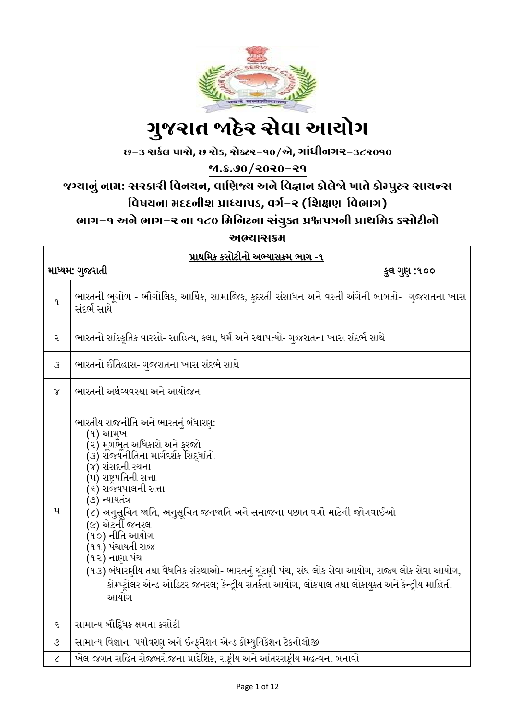

# ગ ુજરાત જાહેર સેવા આયોગ

છ-૩ સર્કલ પાસે**,** છ રોડ**,** સેક્ટર-૧૦/એ**,** ગાાંધીનગર-૩૮૨૦૧૦

જા.ક્ર.૭૦/૨૦૨૦-૨૧

### જગ્યાનુાં નામ: સરર્ારી વવનયન**,** વાવિજ્ય અને વવજ્ઞાન ર્ોલેજો ખાતે ર્ોમ્પુટર સાયન્સ વિષયના મદદનીશ પ્રાધ્યાપક, વર્ગ-ર (શિક્ષણ વિભાગ) ભાગ-૧ અને ભાગ-૨ ના ૧૮૦ વમવનટના સાંયુક્ત પ્રશ્નપત્રની પ્રાથવમર્ ર્સોટીનો

અભ્યાસક્રમ

| પ્રાથમિક કસોટીનો અભ્યાસક્રમ ભાગ -૧ |                                                                                                                                                                                                                                                                                                                                                                                                                                                                                                                                                                                      |  |  |
|------------------------------------|--------------------------------------------------------------------------------------------------------------------------------------------------------------------------------------------------------------------------------------------------------------------------------------------------------------------------------------------------------------------------------------------------------------------------------------------------------------------------------------------------------------------------------------------------------------------------------------|--|--|
|                                    | માધ્યમ: ગુજરાતી<br>કુલ ગુણ :૧૦૦                                                                                                                                                                                                                                                                                                                                                                                                                                                                                                                                                      |  |  |
| $\mathbf{q}$                       | ભારતની ભૂગોળ - ભૌગોલિક, આર્થિક, સામાજિક, કુદરતી સંસાધન અને વસ્તી અંગેની બાબતો- ગુજરાતના ખાસ<br>સંદર્ભ સાથે                                                                                                                                                                                                                                                                                                                                                                                                                                                                           |  |  |
| ર                                  | ભારતનો સાંસ્કૃતિક વારસો- સાહિત્ય, કલા, ધર્મ અને સ્થાપત્યો- ગુજરાતના ખાસ સંદર્ભ સાથે                                                                                                                                                                                                                                                                                                                                                                                                                                                                                                  |  |  |
| $\mathcal{S}$                      | ભારતનો ઈતિહાસ- ગુજરાતના ખાસ સંદર્ભ સાથે                                                                                                                                                                                                                                                                                                                                                                                                                                                                                                                                              |  |  |
| $\chi$                             | ભારતની અર્થવ્યવસ્થા અને આયોજન                                                                                                                                                                                                                                                                                                                                                                                                                                                                                                                                                        |  |  |
| $\mathbf{u}$                       | <u>ભારતીય રાજનીતિ અને ભારતનું બંધારણ:</u><br>(૧) આમુખ<br>(૨) મૂળભૂત અધિકારો અને ફરજો<br>(૩) રાજ્યનીતિના માર્ગદર્શક સિદ્ધાંતો<br>(૪) સંસદની રચના<br>(૫) રાષ્ટ્રપતિની સત્તા<br>(૬) રાજ્યપાલની સત્તા<br>(૭) ન્યાયતંત્ર<br>(૮) અનુસૂચિત જાતિ, અનુસૂચિત જનજાતિ અને સમાજના પછાત વર્ગો માટેની જોગવાઈઓ<br>(૯) એટર્ની જનરલ<br>(૧૦) નીતિ આયોગ<br>(૧૧) પંચાયતી રાજ<br>(૧૨) નાણા પંચ<br>(૧૩) બંધારણીય તથા વૈધનિક સંસ્થાઓ- ભારતનું ચૂંટણી પંચ, સંઘ લોક સેવા આયોગ, રાજ્ય લોક સેવા આયોગ,<br>કોમ્પ્ટ્રોલર એન્ડ ઓડિટર જનરલ; કેન્દ્રીય સતર્કતા આયોગ, લોકપાલ તથા લોકાયુક્ત અને કેન્દ્રીય માહિતી<br>આયોગ |  |  |
| ૬                                  | સામાન્ય બૌદ્ધિક ક્ષમતા કસોટી                                                                                                                                                                                                                                                                                                                                                                                                                                                                                                                                                         |  |  |
| $\mathcal{O}$                      | સામાન્ય વિજ્ઞાન, પર્યાવરણ અને ઈન્ફર્મેશન એન્ડ કોમ્યુનિકેશન ટેકનોલોજી                                                                                                                                                                                                                                                                                                                                                                                                                                                                                                                 |  |  |
| $\mathcal{L}_{\mathcal{L}}$        | ખેલ જગત સહિત રોજબરોજના પ્રાદેશિક, રાષ્ટ્રીય અને આંતરરાષ્ટ્રીય મહત્વના બનાવો                                                                                                                                                                                                                                                                                                                                                                                                                                                                                                          |  |  |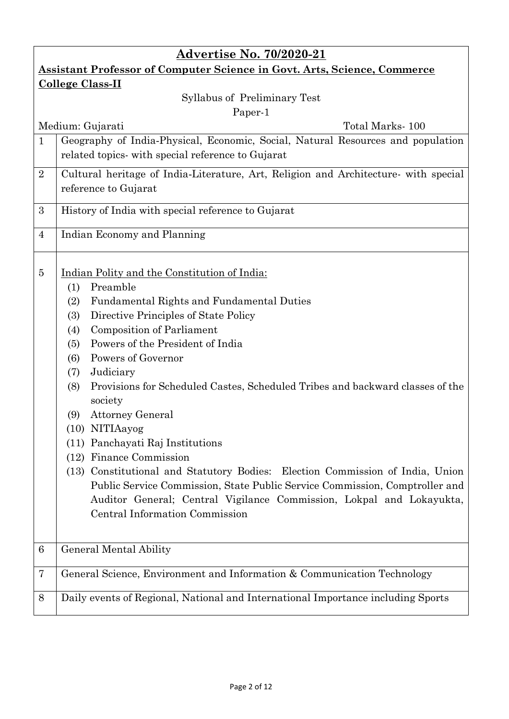| <b>Advertise No. 70/2020-21</b>                                                 |                                                                                                                                                                                                                                                                                                                                                                                                                                                                                                                                                                                                                                                                                                                                                                                                                  |  |  |  |
|---------------------------------------------------------------------------------|------------------------------------------------------------------------------------------------------------------------------------------------------------------------------------------------------------------------------------------------------------------------------------------------------------------------------------------------------------------------------------------------------------------------------------------------------------------------------------------------------------------------------------------------------------------------------------------------------------------------------------------------------------------------------------------------------------------------------------------------------------------------------------------------------------------|--|--|--|
| <b>Assistant Professor of Computer Science in Govt. Arts, Science, Commerce</b> |                                                                                                                                                                                                                                                                                                                                                                                                                                                                                                                                                                                                                                                                                                                                                                                                                  |  |  |  |
| <b>College Class-II</b>                                                         |                                                                                                                                                                                                                                                                                                                                                                                                                                                                                                                                                                                                                                                                                                                                                                                                                  |  |  |  |
| Syllabus of Preliminary Test                                                    |                                                                                                                                                                                                                                                                                                                                                                                                                                                                                                                                                                                                                                                                                                                                                                                                                  |  |  |  |
| Paper-1                                                                         |                                                                                                                                                                                                                                                                                                                                                                                                                                                                                                                                                                                                                                                                                                                                                                                                                  |  |  |  |
| $\mathbf{1}$                                                                    | Total Marks-100<br>Medium: Gujarati<br>Geography of India-Physical, Economic, Social, Natural Resources and population                                                                                                                                                                                                                                                                                                                                                                                                                                                                                                                                                                                                                                                                                           |  |  |  |
|                                                                                 | related topics- with special reference to Gujarat                                                                                                                                                                                                                                                                                                                                                                                                                                                                                                                                                                                                                                                                                                                                                                |  |  |  |
| $\overline{2}$                                                                  | Cultural heritage of India-Literature, Art, Religion and Architecture- with special<br>reference to Gujarat                                                                                                                                                                                                                                                                                                                                                                                                                                                                                                                                                                                                                                                                                                      |  |  |  |
| 3                                                                               | History of India with special reference to Gujarat                                                                                                                                                                                                                                                                                                                                                                                                                                                                                                                                                                                                                                                                                                                                                               |  |  |  |
| $\overline{4}$                                                                  | Indian Economy and Planning                                                                                                                                                                                                                                                                                                                                                                                                                                                                                                                                                                                                                                                                                                                                                                                      |  |  |  |
| 5                                                                               | Indian Polity and the Constitution of India:<br>Preamble<br>(1)<br><b>Fundamental Rights and Fundamental Duties</b><br>(2)<br>Directive Principles of State Policy<br>(3)<br><b>Composition of Parliament</b><br>(4)<br>Powers of the President of India<br>(5)<br>Powers of Governor<br>(6)<br>Judiciary<br>(7)<br>Provisions for Scheduled Castes, Scheduled Tribes and backward classes of the<br>(8)<br>society<br><b>Attorney General</b><br>(9)<br>(10) NITIAayog<br>(11) Panchayati Raj Institutions<br>(12) Finance Commission<br>(13) Constitutional and Statutory Bodies: Election Commission of India, Union<br>Public Service Commission, State Public Service Commission, Comptroller and<br>Auditor General; Central Vigilance Commission, Lokpal and Lokayukta,<br>Central Information Commission |  |  |  |
| 6                                                                               | General Mental Ability                                                                                                                                                                                                                                                                                                                                                                                                                                                                                                                                                                                                                                                                                                                                                                                           |  |  |  |
| 7                                                                               | General Science, Environment and Information & Communication Technology                                                                                                                                                                                                                                                                                                                                                                                                                                                                                                                                                                                                                                                                                                                                          |  |  |  |
| 8                                                                               | Daily events of Regional, National and International Importance including Sports                                                                                                                                                                                                                                                                                                                                                                                                                                                                                                                                                                                                                                                                                                                                 |  |  |  |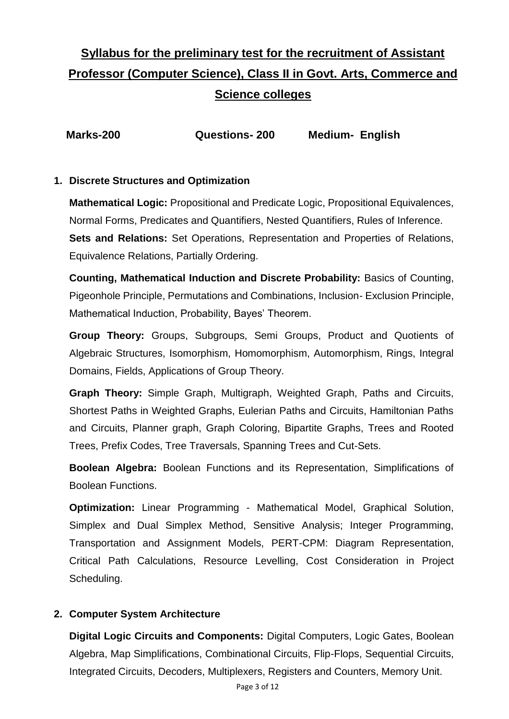## **Syllabus for the preliminary test for the recruitment of Assistant Professor (Computer Science), Class II in Govt. Arts, Commerce and Science colleges**

| Marks-200 | <b>Questions-200</b> | <b>Medium- English</b> |
|-----------|----------------------|------------------------|
|-----------|----------------------|------------------------|

#### **1. Discrete Structures and Optimization**

**Mathematical Logic:** Propositional and Predicate Logic, Propositional Equivalences, Normal Forms, Predicates and Quantifiers, Nested Quantifiers, Rules of Inference. **Sets and Relations:** Set Operations, Representation and Properties of Relations, Equivalence Relations, Partially Ordering.

**Counting, Mathematical Induction and Discrete Probability:** Basics of Counting, Pigeonhole Principle, Permutations and Combinations, Inclusion- Exclusion Principle, Mathematical Induction, Probability, Bayes' Theorem.

**Group Theory:** Groups, Subgroups, Semi Groups, Product and Quotients of Algebraic Structures, Isomorphism, Homomorphism, Automorphism, Rings, Integral Domains, Fields, Applications of Group Theory.

**Graph Theory:** Simple Graph, Multigraph, Weighted Graph, Paths and Circuits, Shortest Paths in Weighted Graphs, Eulerian Paths and Circuits, Hamiltonian Paths and Circuits, Planner graph, Graph Coloring, Bipartite Graphs, Trees and Rooted Trees, Prefix Codes, Tree Traversals, Spanning Trees and Cut-Sets.

**Boolean Algebra:** Boolean Functions and its Representation, Simplifications of Boolean Functions.

**Optimization:** Linear Programming - Mathematical Model, Graphical Solution, Simplex and Dual Simplex Method, Sensitive Analysis; Integer Programming, Transportation and Assignment Models, PERT-CPM: Diagram Representation, Critical Path Calculations, Resource Levelling, Cost Consideration in Project Scheduling.

#### **2. Computer System Architecture**

**Digital Logic Circuits and Components:** Digital Computers, Logic Gates, Boolean Algebra, Map Simplifications, Combinational Circuits, Flip-Flops, Sequential Circuits, Integrated Circuits, Decoders, Multiplexers, Registers and Counters, Memory Unit.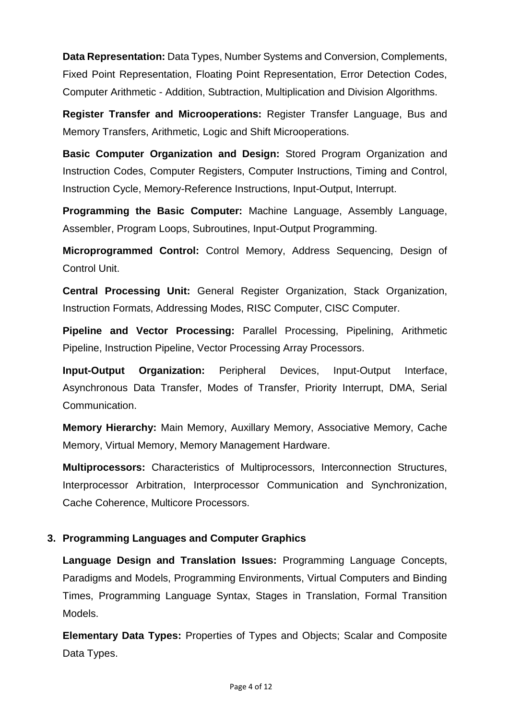**Data Representation:** Data Types, Number Systems and Conversion, Complements, Fixed Point Representation, Floating Point Representation, Error Detection Codes, Computer Arithmetic - Addition, Subtraction, Multiplication and Division Algorithms.

**Register Transfer and Microoperations:** Register Transfer Language, Bus and Memory Transfers, Arithmetic, Logic and Shift Microoperations.

**Basic Computer Organization and Design:** Stored Program Organization and Instruction Codes, Computer Registers, Computer Instructions, Timing and Control, Instruction Cycle, Memory-Reference Instructions, Input-Output, Interrupt.

**Programming the Basic Computer:** Machine Language, Assembly Language, Assembler, Program Loops, Subroutines, Input-Output Programming.

**Microprogrammed Control:** Control Memory, Address Sequencing, Design of Control Unit.

**Central Processing Unit:** General Register Organization, Stack Organization, Instruction Formats, Addressing Modes, RISC Computer, CISC Computer.

**Pipeline and Vector Processing:** Parallel Processing, Pipelining, Arithmetic Pipeline, Instruction Pipeline, Vector Processing Array Processors.

**Input-Output Organization:** Peripheral Devices, Input-Output Interface, Asynchronous Data Transfer, Modes of Transfer, Priority Interrupt, DMA, Serial Communication.

**Memory Hierarchy:** Main Memory, Auxillary Memory, Associative Memory, Cache Memory, Virtual Memory, Memory Management Hardware.

**Multiprocessors:** Characteristics of Multiprocessors, Interconnection Structures, Interprocessor Arbitration, Interprocessor Communication and Synchronization, Cache Coherence, Multicore Processors.

#### **3. Programming Languages and Computer Graphics**

**Language Design and Translation Issues:** Programming Language Concepts, Paradigms and Models, Programming Environments, Virtual Computers and Binding Times, Programming Language Syntax, Stages in Translation, Formal Transition Models.

**Elementary Data Types:** Properties of Types and Objects; Scalar and Composite Data Types.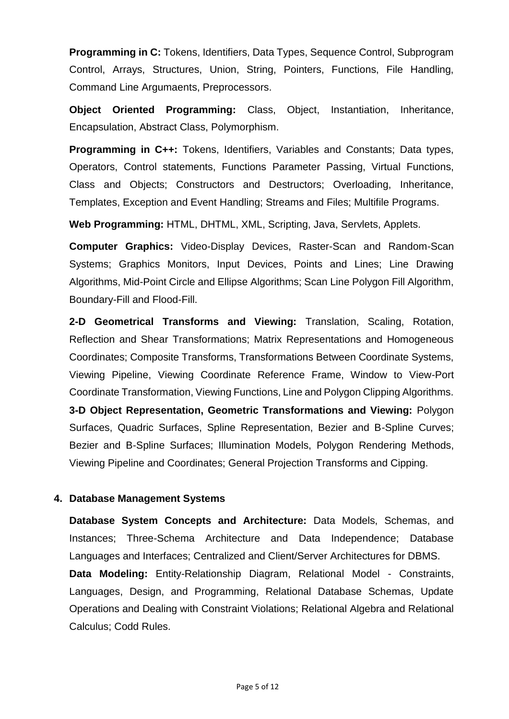**Programming in C:** Tokens, Identifiers, Data Types, Sequence Control, Subprogram Control, Arrays, Structures, Union, String, Pointers, Functions, File Handling, Command Line Argumaents, Preprocessors.

**Object Oriented Programming:** Class, Object, Instantiation, Inheritance, Encapsulation, Abstract Class, Polymorphism.

**Programming in C++:** Tokens, Identifiers, Variables and Constants; Data types, Operators, Control statements, Functions Parameter Passing, Virtual Functions, Class and Objects; Constructors and Destructors; Overloading, Inheritance, Templates, Exception and Event Handling; Streams and Files; Multifile Programs.

**Web Programming:** HTML, DHTML, XML, Scripting, Java, Servlets, Applets.

**Computer Graphics:** Video-Display Devices, Raster-Scan and Random-Scan Systems; Graphics Monitors, Input Devices, Points and Lines; Line Drawing Algorithms, Mid-Point Circle and Ellipse Algorithms; Scan Line Polygon Fill Algorithm, Boundary-Fill and Flood-Fill.

**2-D Geometrical Transforms and Viewing:** Translation, Scaling, Rotation, Reflection and Shear Transformations; Matrix Representations and Homogeneous Coordinates; Composite Transforms, Transformations Between Coordinate Systems, Viewing Pipeline, Viewing Coordinate Reference Frame, Window to View-Port Coordinate Transformation, Viewing Functions, Line and Polygon Clipping Algorithms. **3-D Object Representation, Geometric Transformations and Viewing:** Polygon Surfaces, Quadric Surfaces, Spline Representation, Bezier and B-Spline Curves; Bezier and B-Spline Surfaces; Illumination Models, Polygon Rendering Methods, Viewing Pipeline and Coordinates; General Projection Transforms and Cipping.

#### **4. Database Management Systems**

**Database System Concepts and Architecture:** Data Models, Schemas, and Instances; Three-Schema Architecture and Data Independence; Database Languages and Interfaces; Centralized and Client/Server Architectures for DBMS.

**Data Modeling:** Entity-Relationship Diagram, Relational Model - Constraints, Languages, Design, and Programming, Relational Database Schemas, Update Operations and Dealing with Constraint Violations; Relational Algebra and Relational Calculus; Codd Rules.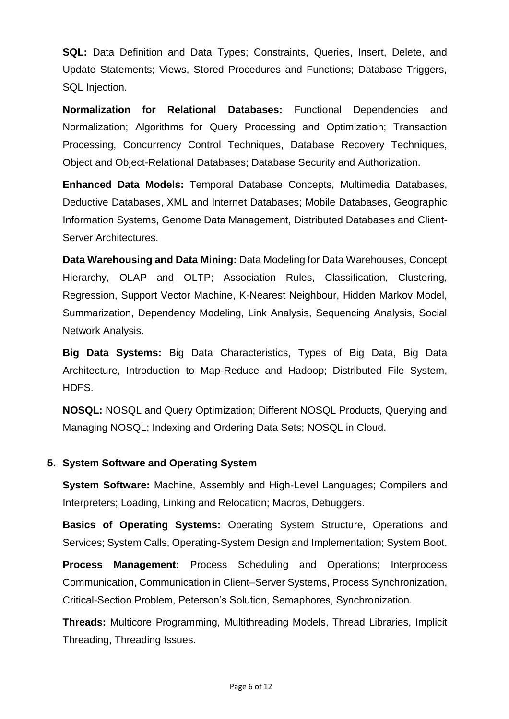**SQL:** Data Definition and Data Types; Constraints, Queries, Insert, Delete, and Update Statements; Views, Stored Procedures and Functions; Database Triggers, SQL Injection.

**Normalization for Relational Databases:** Functional Dependencies and Normalization; Algorithms for Query Processing and Optimization; Transaction Processing, Concurrency Control Techniques, Database Recovery Techniques, Object and Object-Relational Databases; Database Security and Authorization.

**Enhanced Data Models:** Temporal Database Concepts, Multimedia Databases, Deductive Databases, XML and Internet Databases; Mobile Databases, Geographic Information Systems, Genome Data Management, Distributed Databases and Client-Server Architectures.

**Data Warehousing and Data Mining:** Data Modeling for Data Warehouses, Concept Hierarchy, OLAP and OLTP; Association Rules, Classification, Clustering, Regression, Support Vector Machine, K-Nearest Neighbour, Hidden Markov Model, Summarization, Dependency Modeling, Link Analysis, Sequencing Analysis, Social Network Analysis.

**Big Data Systems:** Big Data Characteristics, Types of Big Data, Big Data Architecture, Introduction to Map-Reduce and Hadoop; Distributed File System, HDFS.

**NOSQL:** NOSQL and Query Optimization; Different NOSQL Products, Querying and Managing NOSQL; Indexing and Ordering Data Sets; NOSQL in Cloud.

#### **5. System Software and Operating System**

**System Software:** Machine, Assembly and High-Level Languages; Compilers and Interpreters; Loading, Linking and Relocation; Macros, Debuggers.

**Basics of Operating Systems:** Operating System Structure, Operations and Services; System Calls, Operating-System Design and Implementation; System Boot.

**Process Management:** Process Scheduling and Operations; Interprocess Communication, Communication in Client–Server Systems, Process Synchronization, Critical-Section Problem, Peterson's Solution, Semaphores, Synchronization.

**Threads:** Multicore Programming, Multithreading Models, Thread Libraries, Implicit Threading, Threading Issues.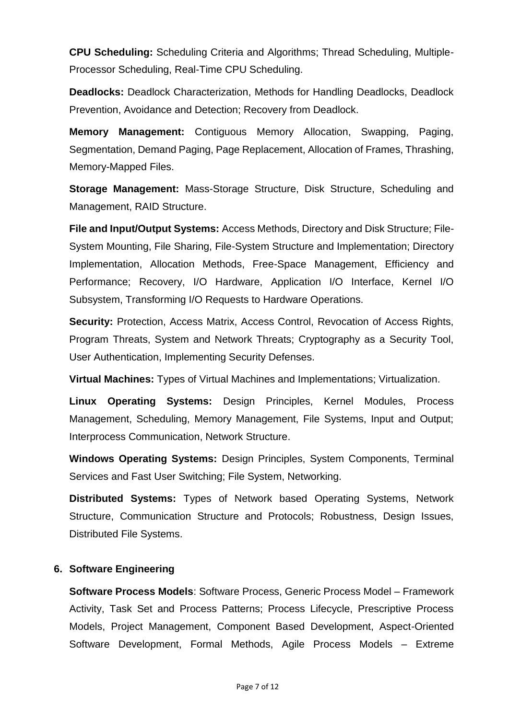**CPU Scheduling:** Scheduling Criteria and Algorithms; Thread Scheduling, Multiple-Processor Scheduling, Real-Time CPU Scheduling.

**Deadlocks:** Deadlock Characterization, Methods for Handling Deadlocks, Deadlock Prevention, Avoidance and Detection; Recovery from Deadlock.

**Memory Management:** Contiguous Memory Allocation, Swapping, Paging, Segmentation, Demand Paging, Page Replacement, Allocation of Frames, Thrashing, Memory-Mapped Files.

**Storage Management:** Mass-Storage Structure, Disk Structure, Scheduling and Management, RAID Structure.

**File and Input/Output Systems:** Access Methods, Directory and Disk Structure; File-System Mounting, File Sharing, File-System Structure and Implementation; Directory Implementation, Allocation Methods, Free-Space Management, Efficiency and Performance; Recovery, I/O Hardware, Application I/O Interface, Kernel I/O Subsystem, Transforming I/O Requests to Hardware Operations.

**Security: Protection, Access Matrix, Access Control, Revocation of Access Rights,** Program Threats, System and Network Threats; Cryptography as a Security Tool, User Authentication, Implementing Security Defenses.

**Virtual Machines:** Types of Virtual Machines and Implementations; Virtualization.

**Linux Operating Systems:** Design Principles, Kernel Modules, Process Management, Scheduling, Memory Management, File Systems, Input and Output; Interprocess Communication, Network Structure.

**Windows Operating Systems:** Design Principles, System Components, Terminal Services and Fast User Switching; File System, Networking.

**Distributed Systems:** Types of Network based Operating Systems, Network Structure, Communication Structure and Protocols; Robustness, Design Issues, Distributed File Systems.

#### **6. Software Engineering**

**Software Process Models**: Software Process, Generic Process Model – Framework Activity, Task Set and Process Patterns; Process Lifecycle, Prescriptive Process Models, Project Management, Component Based Development, Aspect-Oriented Software Development, Formal Methods, Agile Process Models – Extreme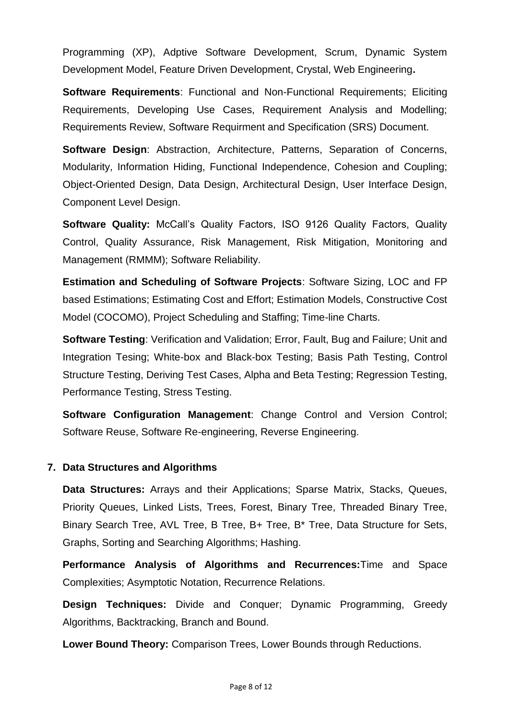Programming (XP), Adptive Software Development, Scrum, Dynamic System Development Model, Feature Driven Development, Crystal, Web Engineering**.** 

**Software Requirements**: Functional and Non-Functional Requirements; Eliciting Requirements, Developing Use Cases, Requirement Analysis and Modelling; Requirements Review, Software Requirment and Specification (SRS) Document.

**Software Design**: Abstraction, Architecture, Patterns, Separation of Concerns, Modularity, Information Hiding, Functional Independence, Cohesion and Coupling; Object-Oriented Design, Data Design, Architectural Design, User Interface Design, Component Level Design.

**Software Quality:** McCall's Quality Factors, ISO 9126 Quality Factors, Quality Control, Quality Assurance, Risk Management, Risk Mitigation, Monitoring and Management (RMMM); Software Reliability.

**Estimation and Scheduling of Software Projects**: Software Sizing, LOC and FP based Estimations; Estimating Cost and Effort; Estimation Models, Constructive Cost Model (COCOMO), Project Scheduling and Staffing; Time-line Charts.

**Software Testing**: Verification and Validation; Error, Fault, Bug and Failure; Unit and Integration Tesing; White-box and Black-box Testing; Basis Path Testing, Control Structure Testing, Deriving Test Cases, Alpha and Beta Testing; Regression Testing, Performance Testing, Stress Testing.

**Software Configuration Management**: Change Control and Version Control; Software Reuse, Software Re-engineering, Reverse Engineering.

#### **7. Data Structures and Algorithms**

**Data Structures:** Arrays and their Applications; Sparse Matrix, Stacks, Queues, Priority Queues, Linked Lists, Trees, Forest, Binary Tree, Threaded Binary Tree, Binary Search Tree, AVL Tree, B Tree, B+ Tree, B\* Tree, Data Structure for Sets, Graphs, Sorting and Searching Algorithms; Hashing.

**Performance Analysis of Algorithms and Recurrences:**Time and Space Complexities; Asymptotic Notation, Recurrence Relations.

**Design Techniques:** Divide and Conquer; Dynamic Programming, Greedy Algorithms, Backtracking, Branch and Bound.

**Lower Bound Theory:** Comparison Trees, Lower Bounds through Reductions.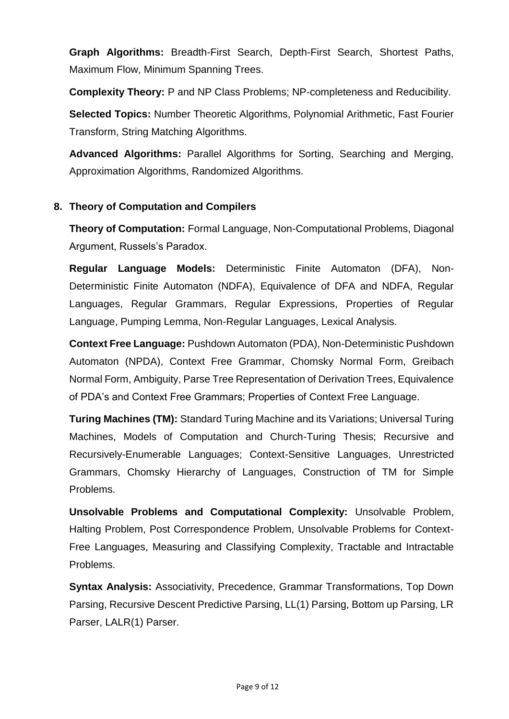**Graph Algorithms:** Breadth-First Search, Depth-First Search, Shortest Paths, Maximum Flow, Minimum Spanning Trees.

**Complexity Theory:** P and NP Class Problems; NP-completeness and Reducibility.

**Selected Topics:** Number Theoretic Algorithms, Polynomial Arithmetic, Fast Fourier Transform, String Matching Algorithms.

**Advanced Algorithms:** Parallel Algorithms for Sorting, Searching and Merging, Approximation Algorithms, Randomized Algorithms.

#### **8. Theory of Computation and Compilers**

**Theory of Computation:** Formal Language, Non-Computational Problems, Diagonal Argument, Russels's Paradox.

**Regular Language Models:** Deterministic Finite Automaton (DFA), Non-Deterministic Finite Automaton (NDFA), Equivalence of DFA and NDFA, Regular Languages, Regular Grammars, Regular Expressions, Properties of Regular Language, Pumping Lemma, Non-Regular Languages, Lexical Analysis.

**Context Free Language:** Pushdown Automaton (PDA), Non-Deterministic Pushdown Automaton (NPDA), Context Free Grammar, Chomsky Normal Form, Greibach Normal Form, Ambiguity, Parse Tree Representation of Derivation Trees, Equivalence of PDA's and Context Free Grammars; Properties of Context Free Language.

**Turing Machines (TM):** Standard Turing Machine and its Variations; Universal Turing Machines, Models of Computation and Church-Turing Thesis; Recursive and Recursively-Enumerable Languages; Context-Sensitive Languages, Unrestricted Grammars, Chomsky Hierarchy of Languages, Construction of TM for Simple Problems.

**Unsolvable Problems and Computational Complexity:** Unsolvable Problem, Halting Problem, Post Correspondence Problem, Unsolvable Problems for Context-Free Languages, Measuring and Classifying Complexity, Tractable and Intractable Problems.

**Syntax Analysis:** Associativity, Precedence, Grammar Transformations, Top Down Parsing, Recursive Descent Predictive Parsing, LL(1) Parsing, Bottom up Parsing, LR Parser, LALR(1) Parser.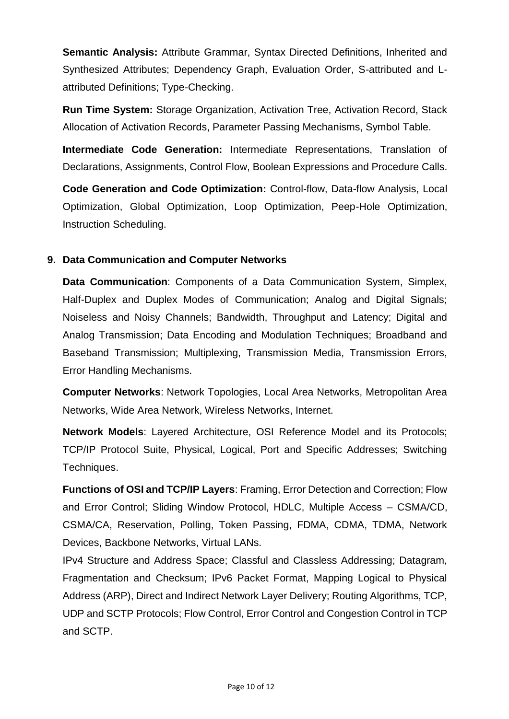**Semantic Analysis:** Attribute Grammar, Syntax Directed Definitions, Inherited and Synthesized Attributes; Dependency Graph, Evaluation Order, S-attributed and Lattributed Definitions; Type-Checking.

**Run Time System:** Storage Organization, Activation Tree, Activation Record, Stack Allocation of Activation Records, Parameter Passing Mechanisms, Symbol Table.

**Intermediate Code Generation:** Intermediate Representations, Translation of Declarations, Assignments, Control Flow, Boolean Expressions and Procedure Calls.

**Code Generation and Code Optimization:** Control-flow, Data-flow Analysis, Local Optimization, Global Optimization, Loop Optimization, Peep-Hole Optimization, Instruction Scheduling.

#### **9. Data Communication and Computer Networks**

**Data Communication**: Components of a Data Communication System, Simplex, Half-Duplex and Duplex Modes of Communication; Analog and Digital Signals; Noiseless and Noisy Channels; Bandwidth, Throughput and Latency; Digital and Analog Transmission; Data Encoding and Modulation Techniques; Broadband and Baseband Transmission; Multiplexing, Transmission Media, Transmission Errors, Error Handling Mechanisms.

**Computer Networks**: Network Topologies, Local Area Networks, Metropolitan Area Networks, Wide Area Network, Wireless Networks, Internet.

**Network Models**: Layered Architecture, OSI Reference Model and its Protocols; TCP/IP Protocol Suite, Physical, Logical, Port and Specific Addresses; Switching Techniques.

**Functions of OSI and TCP/IP Layers**: Framing, Error Detection and Correction; Flow and Error Control; Sliding Window Protocol, HDLC, Multiple Access – CSMA/CD, CSMA/CA, Reservation, Polling, Token Passing, FDMA, CDMA, TDMA, Network Devices, Backbone Networks, Virtual LANs.

IPv4 Structure and Address Space; Classful and Classless Addressing; Datagram, Fragmentation and Checksum; IPv6 Packet Format, Mapping Logical to Physical Address (ARP), Direct and Indirect Network Layer Delivery; Routing Algorithms, TCP, UDP and SCTP Protocols; Flow Control, Error Control and Congestion Control in TCP and SCTP.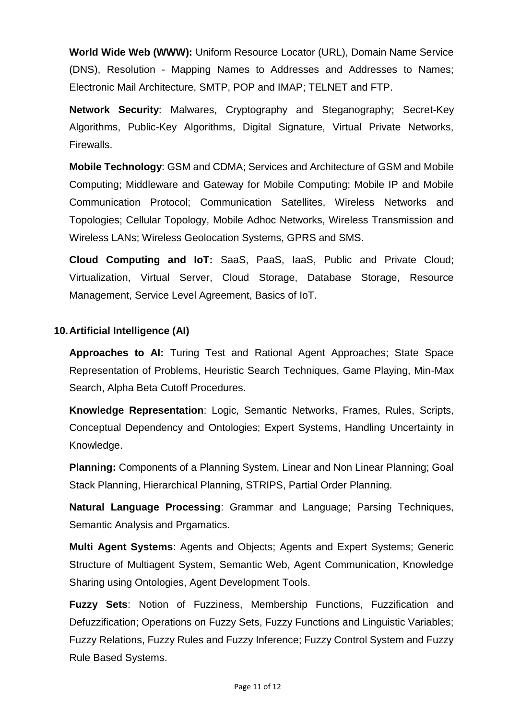**World Wide Web (WWW):** Uniform Resource Locator (URL), Domain Name Service (DNS), Resolution - Mapping Names to Addresses and Addresses to Names; Electronic Mail Architecture, SMTP, POP and IMAP; TELNET and FTP.

**Network Security**: Malwares, Cryptography and Steganography; Secret-Key Algorithms, Public-Key Algorithms, Digital Signature, Virtual Private Networks, Firewalls.

**Mobile Technology**: GSM and CDMA; Services and Architecture of GSM and Mobile Computing; Middleware and Gateway for Mobile Computing; Mobile IP and Mobile Communication Protocol; Communication Satellites, Wireless Networks and Topologies; Cellular Topology, Mobile Adhoc Networks, Wireless Transmission and Wireless LANs; Wireless Geolocation Systems, GPRS and SMS.

**Cloud Computing and IoT:** SaaS, PaaS, IaaS, Public and Private Cloud; Virtualization, Virtual Server, Cloud Storage, Database Storage, Resource Management, Service Level Agreement, Basics of IoT.

#### **10.Artificial Intelligence (AI)**

**Approaches to AI:** Turing Test and Rational Agent Approaches; State Space Representation of Problems, Heuristic Search Techniques, Game Playing, Min-Max Search, Alpha Beta Cutoff Procedures.

**Knowledge Representation**: Logic, Semantic Networks, Frames, Rules, Scripts, Conceptual Dependency and Ontologies; Expert Systems, Handling Uncertainty in Knowledge.

**Planning:** Components of a Planning System, Linear and Non Linear Planning; Goal Stack Planning, Hierarchical Planning, STRIPS, Partial Order Planning.

**Natural Language Processing**: Grammar and Language; Parsing Techniques, Semantic Analysis and Prgamatics.

**Multi Agent Systems**: Agents and Objects; Agents and Expert Systems; Generic Structure of Multiagent System, Semantic Web, Agent Communication, Knowledge Sharing using Ontologies, Agent Development Tools.

**Fuzzy Sets**: Notion of Fuzziness, Membership Functions, Fuzzification and Defuzzification; Operations on Fuzzy Sets, Fuzzy Functions and Linguistic Variables; Fuzzy Relations, Fuzzy Rules and Fuzzy Inference; Fuzzy Control System and Fuzzy Rule Based Systems.